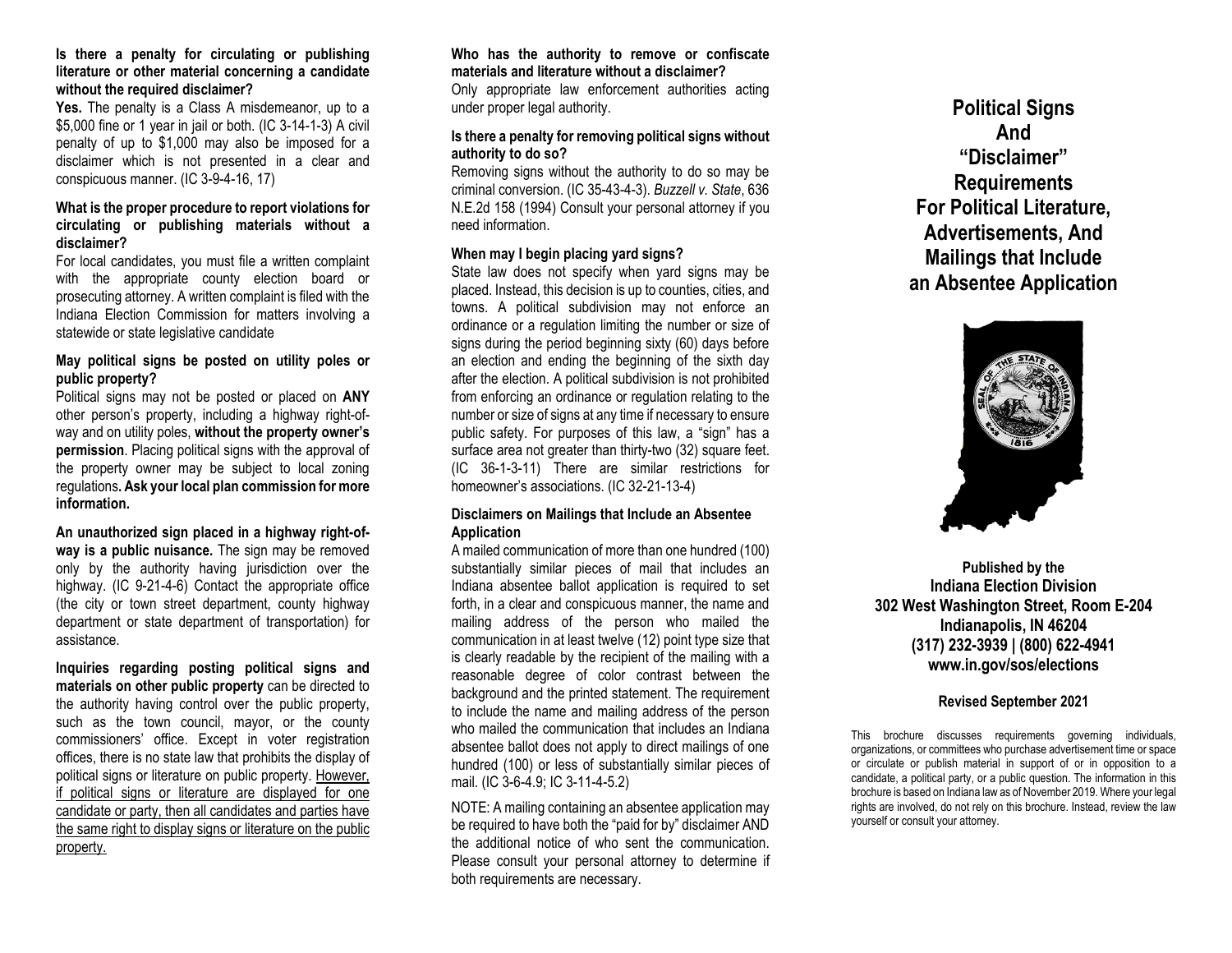#### **Is there a penalty for circulating or publishing literature or other material concerning a candidate without the required disclaimer?**

**Yes.** The penalty is a Class A misdemeanor, up to a \$5,000 fine or 1 year in jail or both. (IC 3-14-1-3) A civil penalty of up to \$1,000 may also be imposed for a disclaimer which is not presented in a clear and conspicuous manner. (IC 3-9-4-16, 17)

## **What is the proper procedure to report violations for circulating or publishing materials without a disclaimer?**

For local candidates, you must file a written complaint with the appropriate county election board or prosecuting attorney. A written complaint is filed with the Indiana Election Commission for matters involving a statewide or state legislative candidate

#### **May political signs be posted on utility poles or public property?**

Political signs may not be posted or placed on **ANY**  other person's property, including a highway right-ofway and on utility poles, **without the property owner's permission**. Placing political signs with the approval of the property owner may be subject to local zoning regulations**. Ask your local plan commission for more information.**

**An unauthorized sign placed in a highway right-ofway is a public nuisance.** The sign may be removed only by the authority having jurisdiction over the highway. (IC 9-21-4-6) Contact the appropriate office (the city or town street department, county highway department or state department of transportation) for assistance.

**Inquiries regarding posting political signs and materials on other public property** can be directed to the authority having control over the public property, such as the town council, mayor, or the county commissioners' office. Except in voter registration offices, there is no state law that prohibits the display of political signs or literature on public property. However, if political signs or literature are displayed for one candidate or party, then all candidates and parties have the same right to display signs or literature on the public property.

### **Who has the authority to remove or confiscate materials and literature without a disclaimer?** Only appropriate law enforcement authorities acting under proper legal authority.

# **Is there a penalty for removing political signs without authority to do so?**

Removing signs without the authority to do so may be criminal conversion. (IC 35-43-4-3). *Buzzell v. State*, 636 N.E.2d 158 (1994) Consult your personal attorney if you need information.

# **When may I begin placing yard signs?**

State law does not specify when yard signs may be placed. Instead, this decision is up to counties, cities, and towns. A political subdivision may not enforce an ordinance or a regulation limiting the number or size of signs during the period beginning sixty (60) days before an election and ending the beginning of the sixth day after the election. A political subdivision is not prohibited from enforcing an ordinance or regulation relating to the number or size of signs at any time if necessary to ensure public safety. For purposes of this law, a "sign" has a surface area not greater than thirty-two (32) square feet. (IC 36-1-3-11) There are similar restrictions for homeowner's associations. (IC 32-21-13-4)

## **Disclaimers on Mailings that Include an Absentee Application**

A mailed communication of more than one hundred (100) substantially similar pieces of mail that includes an Indiana absentee ballot application is required to set forth, in a clear and conspicuous manner, the name and mailing address of the person who mailed the communication in at least twelve (12) point type size that is clearly readable by the recipient of the mailing with a reasonable degree of color contrast between the background and the printed statement. The requirement to include the name and mailing address of the person who mailed the communication that includes an Indiana absentee ballot does not apply to direct mailings of one hundred (100) or less of substantially similar pieces of mail. (IC 3-6-4.9; IC 3-11-4-5.2)

NOTE: A mailing containing an absentee application may be required to have both the "paid for by" disclaimer AND the additional notice of who sent the communication. Please consult your personal attorney to determine if both requirements are necessary.

**Political Signs And "Disclaimer" Requirements For Political Literature, Advertisements, And Mailings that Include an Absentee Application** 



**Published by the Indiana Election Division 302 West Washington Street, Room E-204 Indianapolis, IN 46204 (317) 232-3939 | (800) 622-4941 www.in.gov/sos/elections**

## **Revised September 2021**

This brochure discusses requirements governing individuals, organizations, or committees who purchase advertisement time or space or circulate or publish material in support of or in opposition to a candidate, a political party, or a public question. The information in this brochure is based on Indiana law as of November 2019. Where your legal rights are involved, do not rely on this brochure. Instead, review the law yourself or consult your attorney.